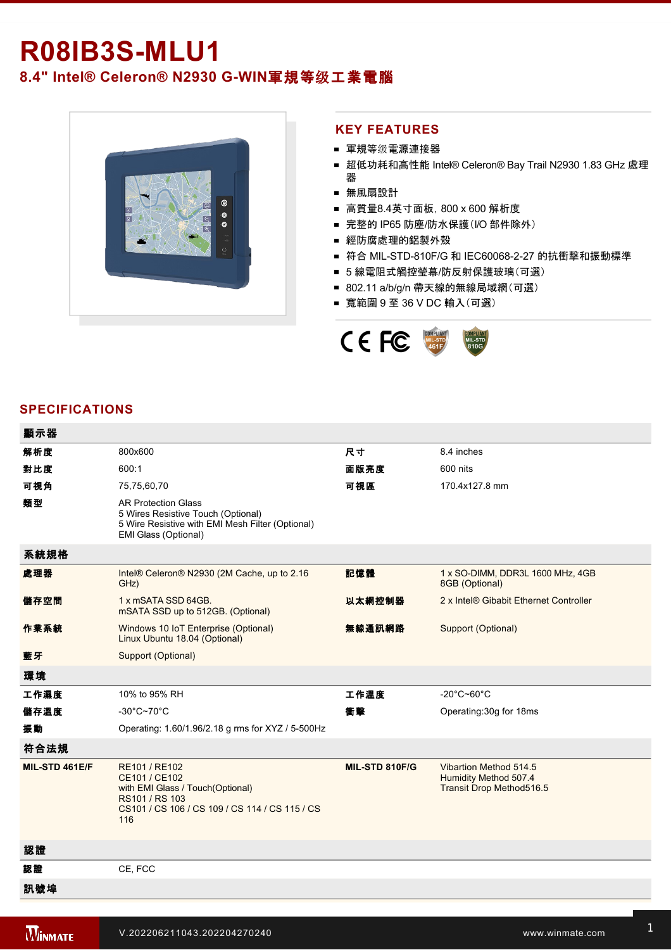# **R08IB3S-MLU1**

## **8.4" Intel® Celeron® N2930 GWIN**軍規等级工業電腦



#### **KEY FEATURES**

- 軍規等级電源連接器
- 超低功耗和高性能 Intel® Celeron® Bay Trail N2930 1.83 GHz 處理 器
- 無風扇設計
- 高質量8.4英寸面板, 800 x 600 解析度
- 完整的 IP65 防塵/防水保護(I/O 部件除外)
- 經防腐處理的鋁製外殼
- 符合 MIL-STD-810F/G 和 IEC60068-2-27 的抗衝擊和振動標準
- 5 線電阻式觸控瑩幕/防反射保護玻璃(可選)
- 802.11 a/b/g/n 帶天線的無線局域網(可選)
- 寬範圍 9 至 36 V DC 輸入(可選)



#### **SPECIFICATIONS**

| 顯示器            |                                                                                                                                               |                |                                                                             |
|----------------|-----------------------------------------------------------------------------------------------------------------------------------------------|----------------|-----------------------------------------------------------------------------|
| 解析度            | 800x600                                                                                                                                       | 尺寸             | 8.4 inches                                                                  |
| 對比度            | 600:1                                                                                                                                         | 面版亮度           | 600 nits                                                                    |
| 可視角            | 75,75,60,70                                                                                                                                   | 可視區            | 170.4x127.8 mm                                                              |
| 類型             | <b>AR Protection Glass</b><br>5 Wires Resistive Touch (Optional)<br>5 Wire Resistive with EMI Mesh Filter (Optional)<br>EMI Glass (Optional)  |                |                                                                             |
| 系統規格           |                                                                                                                                               |                |                                                                             |
| 處理器            | Intel® Celeron® N2930 (2M Cache, up to 2.16<br>GHz)                                                                                           | 記憶體            | 1 x SO-DIMM, DDR3L 1600 MHz, 4GB<br>8GB (Optional)                          |
| 儲存空間           | 1 x mSATA SSD 64GB.<br>mSATA SSD up to 512GB. (Optional)                                                                                      | 以太網控制器         | 2 x Intel® Gibabit Ethernet Controller                                      |
| 作業系統           | Windows 10 IoT Enterprise (Optional)<br>Linux Ubuntu 18.04 (Optional)                                                                         | 無線通訊網路         | Support (Optional)                                                          |
| 藍牙             | Support (Optional)                                                                                                                            |                |                                                                             |
| 環境             |                                                                                                                                               |                |                                                                             |
| 工作濕度           | 10% to 95% RH                                                                                                                                 | 工作溫度           | $-20^{\circ}$ C~60 $^{\circ}$ C                                             |
| 儲存溫度           | $-30^{\circ}$ C~70 $^{\circ}$ C                                                                                                               | 衝聲             | Operating: 30g for 18ms                                                     |
| 振動             | Operating: 1.60/1.96/2.18 g rms for XYZ / 5-500Hz                                                                                             |                |                                                                             |
| 符合法規           |                                                                                                                                               |                |                                                                             |
| MIL-STD 461E/F | RE101 / RE102<br>CE101 / CE102<br>with EMI Glass / Touch(Optional)<br>RS101 / RS 103<br>CS101 / CS 106 / CS 109 / CS 114 / CS 115 / CS<br>116 | MIL-STD 810F/G | Vibartion Method 514.5<br>Humidity Method 507.4<br>Transit Drop Method516.5 |
| 認證             |                                                                                                                                               |                |                                                                             |
| 認證             | CE, FCC                                                                                                                                       |                |                                                                             |
| 訊號埠            |                                                                                                                                               |                |                                                                             |

指示燈 Power On/ Off

1 x USB3.0